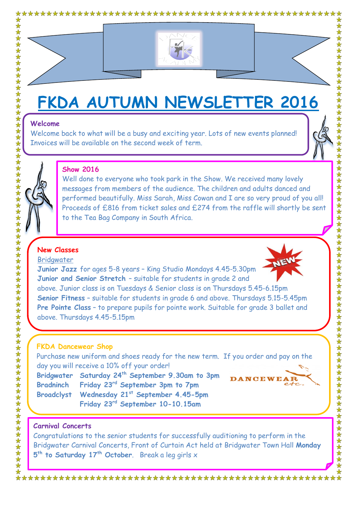



# **FKDA AUTUMN NEWSLETTER 2016**

Welcome back to what will be a busy and exciting year. Lots of new events planned! Invoices will be available on the second week of term.



# **Show 2016**

Well done to everyone who took park in the Show. We received many lovely messages from members of the audience. The children and adults danced and performed beautifully. Miss Sarah, Miss Cowan and I are so very proud of you all! Proceeds of £816 from ticket sales and £274 from the raffle will shortly be sent to the Tea Bag Company in South Africa.

# **New Classes**

#### **Bridawater**



**Junior Jazz** for ages 5-8 years – King Studio Mondays 4.45-5.30pm **Junior and Senior Stretch** – suitable for students in grade 2 and above. Junior class is on Tuesdays & Senior class is on Thursdays 5.45-6.15pm **Senior Fitness** – suitable for students in grade 6 and above. Thursdays 5.15-5.45pm **Pre Pointe Class** – to prepare pupils for pointe work. Suitable for grade 3 ballet and above. Thursdays 4.45-5.15pm

# **FKDA Dancewear Shop**

Purchase new uniform and shoes ready for the new term. If you order and pay on the day you will receive a 10% off your order!

**Bridgwater Saturday 24 th September 9.30am to 3pm Bradninch Friday 23rd September 3pm to 7pm Broadclyst Wednesday 21st September 4.45-5pm Friday 23rd September 10-10.15am**



# **Carnival Concerts**

Congratulations to the senior students for successfully auditioning to perform in the Bridgwater Carnival Concerts, Front of Curtain Act held at Bridgwater Town Hall **Monday 5 th to Saturday 17th October**. Break a leg girls x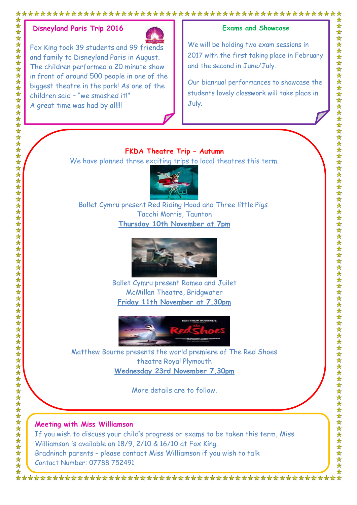

Fox King took 39 students and 99 friends and family to Disneyland Paris in August. The children performed a 20 minute show in front of around 500 people in one of the biggest theatre in the park! As one of the children said – "we smashed it!" A great time was had by all!!!

## **Exams and Showcase**

We will be holding two exam sessions in 2017 with the first taking place in February and the second in June/July.

Our biannual performances to showcase the students lovely classwork will take place in July.

## **FKDA Theatre Trip – Autumn**

We have planned three exciting trips to local theatres this term.



Ballet Cymru present Red Riding Hood and Three little Pigs Tacchi Morris, Taunton **Thursday 10th November at 7pm**



Ballet Cymru present Romeo and Juilet McMillan Theatre, Bridgwater **Friday 11th November at 7.30pm**



Matthew Bourne presents the world premiere of The Red Shoes theatre Royal Plymouth **Wednesday 23rd November 7.30pm**

More details are to follow.

## **Meeting with Miss Williamson**

If you wish to discuss your child's progress or exams to be taken this term, Miss Williamson is available on 18/9, 2/10 & 16/10 at Fox King. Bradninch parents – please contact Miss Williamson if you wish to talk Contact Number: 07788 752491